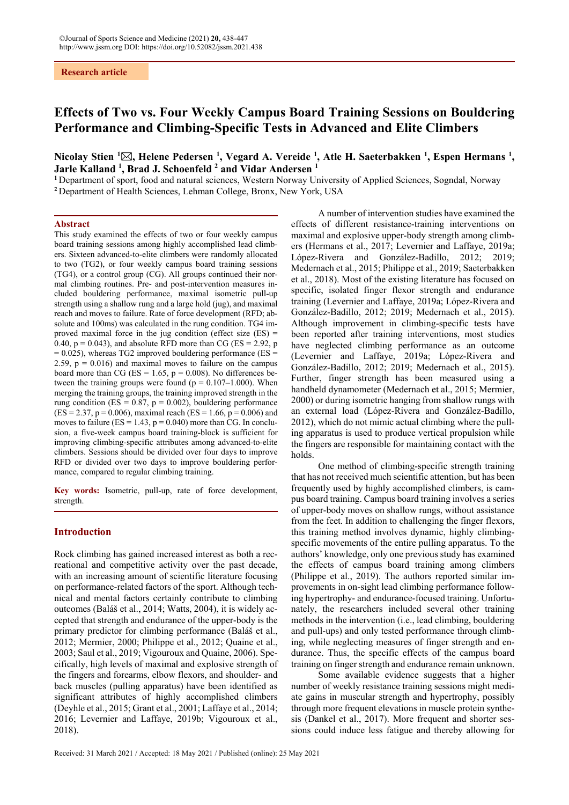#### **Research article**

# **Effects of Two vs. Four Weekly Campus Board Training Sessions on Bouldering Performance and Climbing-Specific Tests in Advanced and Elite Climbers**

## **Nicolay Stien 1 , Helene Pedersen 1 , Vegard A. Vereide 1 , Atle H. Saeterbakken 1 , Espen Hermans 1 , Jarle Kalland 1 , Brad J. Schoenfeld 2 and Vidar Andersen 1**

**<sup>1</sup>** Department of sport, food and natural sciences, Western Norway University of Applied Sciences, Sogndal, Norway **<sup>2</sup>** Department of Health Sciences, Lehman College, Bronx, New York, USA

#### **Abstract**

This study examined the effects of two or four weekly campus board training sessions among highly accomplished lead climbers. Sixteen advanced-to-elite climbers were randomly allocated to two (TG2), or four weekly campus board training sessions (TG4), or a control group (CG). All groups continued their normal climbing routines. Pre- and post-intervention measures included bouldering performance, maximal isometric pull-up strength using a shallow rung and a large hold (jug), and maximal reach and moves to failure. Rate of force development (RFD; absolute and 100ms) was calculated in the rung condition. TG4 improved maximal force in the jug condition (effect size  $(ES)$  = 0.40,  $p = 0.043$ ), and absolute RFD more than CG (ES = 2.92, p  $= 0.025$ ), whereas TG2 improved bouldering performance (ES = 2.59,  $p = 0.016$ ) and maximal moves to failure on the campus board more than CG ( $ES = 1.65$ ,  $p = 0.008$ ). No differences between the training groups were found ( $p = 0.107-1.000$ ). When merging the training groups, the training improved strength in the rung condition (ES =  $0.87$ , p =  $0.002$ ), bouldering performance  $(ES = 2.37, p = 0.006)$ , maximal reach  $(ES = 1.66, p = 0.006)$  and moves to failure ( $ES = 1.43$ ,  $p = 0.040$ ) more than CG. In conclusion, a five-week campus board training-block is sufficient for improving climbing-specific attributes among advanced-to-elite climbers. Sessions should be divided over four days to improve RFD or divided over two days to improve bouldering performance, compared to regular climbing training.

**Key words:** Isometric, pull-up, rate of force development, strength.

## **Introduction**

Rock climbing has gained increased interest as both a recreational and competitive activity over the past decade, with an increasing amount of scientific literature focusing on performance-related factors of the sport. Although technical and mental factors certainly contribute to climbing outcomes (Baláš et al., 2014; Watts, 2004), it is widely accepted that strength and endurance of the upper-body is the primary predictor for climbing performance (Baláš et al., 2012; Mermier, 2000; Philippe et al., 2012; Quaine et al., 2003; Saul et al., 2019; Vigouroux and Quaine, 2006). Specifically, high levels of maximal and explosive strength of the fingers and forearms, elbow flexors, and shoulder- and back muscles (pulling apparatus) have been identified as significant attributes of highly accomplished climbers (Deyhle et al., 2015; Grant et al., 2001; Laffaye et al., 2014; 2016; Levernier and Laffaye, 2019b; Vigouroux et al., 2018).

A number of intervention studies have examined the effects of different resistance-training interventions on maximal and explosive upper-body strength among climbers (Hermans et al., 2017; Levernier and Laffaye, 2019a; López-Rivera and González-Badillo, 2012; 2019; Medernach et al., 2015; Philippe et al., 2019; Saeterbakken et al., 2018). Most of the existing literature has focused on specific, isolated finger flexor strength and endurance training (Levernier and Laffaye, 2019a; López-Rivera and González-Badillo, 2012; 2019; Medernach et al., 2015). Although improvement in climbing-specific tests have been reported after training interventions, most studies have neglected climbing performance as an outcome (Levernier and Laffaye, 2019a; López-Rivera and González-Badillo, 2012; 2019; Medernach et al., 2015). Further, finger strength has been measured using a handheld dynamometer (Medernach et al., 2015; Mermier, 2000) or during isometric hanging from shallow rungs with an external load (López-Rivera and González-Badillo, 2012), which do not mimic actual climbing where the pulling apparatus is used to produce vertical propulsion while the fingers are responsible for maintaining contact with the holds.

One method of climbing-specific strength training that has not received much scientific attention, but has been frequently used by highly accomplished climbers, is campus board training. Campus board training involves a series of upper-body moves on shallow rungs, without assistance from the feet. In addition to challenging the finger flexors, this training method involves dynamic, highly climbingspecific movements of the entire pulling apparatus. To the authors' knowledge, only one previous study has examined the effects of campus board training among climbers (Philippe et al., 2019). The authors reported similar improvements in on-sight lead climbing performance following hypertrophy- and endurance-focused training. Unfortunately, the researchers included several other training methods in the intervention (i.e., lead climbing, bouldering and pull-ups) and only tested performance through climbing, while neglecting measures of finger strength and endurance. Thus, the specific effects of the campus board training on finger strength and endurance remain unknown.

Some available evidence suggests that a higher number of weekly resistance training sessions might mediate gains in muscular strength and hypertrophy, possibly through more frequent elevations in muscle protein synthesis (Dankel et al., 2017). More frequent and shorter sessions could induce less fatigue and thereby allowing for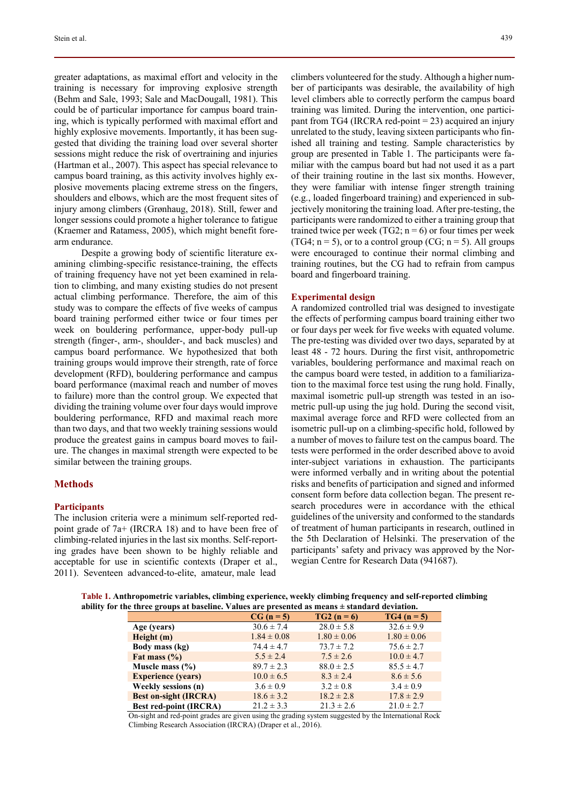greater adaptations, as maximal effort and velocity in the training is necessary for improving explosive strength (Behm and Sale, 1993; Sale and MacDougall, 1981). This could be of particular importance for campus board training, which is typically performed with maximal effort and highly explosive movements. Importantly, it has been suggested that dividing the training load over several shorter sessions might reduce the risk of overtraining and injuries (Hartman et al., 2007). This aspect has special relevance to campus board training, as this activity involves highly explosive movements placing extreme stress on the fingers, shoulders and elbows, which are the most frequent sites of injury among climbers (Grønhaug, 2018). Still, fewer and longer sessions could promote a higher tolerance to fatigue (Kraemer and Ratamess, 2005), which might benefit forearm endurance.

Despite a growing body of scientific literature examining climbing-specific resistance-training, the effects of training frequency have not yet been examined in relation to climbing, and many existing studies do not present actual climbing performance. Therefore, the aim of this study was to compare the effects of five weeks of campus board training performed either twice or four times per week on bouldering performance, upper-body pull-up strength (finger-, arm-, shoulder-, and back muscles) and campus board performance. We hypothesized that both training groups would improve their strength, rate of force development (RFD), bouldering performance and campus board performance (maximal reach and number of moves to failure) more than the control group. We expected that dividing the training volume over four days would improve bouldering performance, RFD and maximal reach more than two days, and that two weekly training sessions would produce the greatest gains in campus board moves to failure. The changes in maximal strength were expected to be similar between the training groups.

#### **Methods**

## **Participants**

The inclusion criteria were a minimum self-reported redpoint grade of 7a+ (IRCRA 18) and to have been free of climbing-related injuries in the last six months. Self-reporting grades have been shown to be highly reliable and acceptable for use in scientific contexts (Draper et al., 2011). Seventeen advanced-to-elite, amateur, male lead

climbers volunteered for the study. Although a higher number of participants was desirable, the availability of high level climbers able to correctly perform the campus board training was limited. During the intervention, one participant from TG4 (IRCRA red-point = 23) acquired an injury unrelated to the study, leaving sixteen participants who finished all training and testing. Sample characteristics by group are presented in Table 1. The participants were familiar with the campus board but had not used it as a part of their training routine in the last six months. However, they were familiar with intense finger strength training (e.g., loaded fingerboard training) and experienced in subjectively monitoring the training load. After pre-testing, the participants were randomized to either a training group that trained twice per week (TG2;  $n = 6$ ) or four times per week (TG4;  $n = 5$ ), or to a control group (CG;  $n = 5$ ). All groups were encouraged to continue their normal climbing and training routines, but the CG had to refrain from campus board and fingerboard training.

## **Experimental design**

A randomized controlled trial was designed to investigate the effects of performing campus board training either two or four days per week for five weeks with equated volume. The pre-testing was divided over two days, separated by at least 48 - 72 hours. During the first visit, anthropometric variables, bouldering performance and maximal reach on the campus board were tested, in addition to a familiarization to the maximal force test using the rung hold. Finally, maximal isometric pull-up strength was tested in an isometric pull-up using the jug hold. During the second visit, maximal average force and RFD were collected from an isometric pull-up on a climbing-specific hold, followed by a number of moves to failure test on the campus board. The tests were performed in the order described above to avoid inter-subject variations in exhaustion. The participants were informed verbally and in writing about the potential risks and benefits of participation and signed and informed consent form before data collection began. The present research procedures were in accordance with the ethical guidelines of the university and conformed to the standards of treatment of human participants in research, outlined in the 5th Declaration of Helsinki. The preservation of the participants' safety and privacy was approved by the Norwegian Centre for Research Data (941687).

|                                                                                                   | Table 1. Anthropometric variables, climbing experience, weekly climbing frequency and self-reported climbing |
|---------------------------------------------------------------------------------------------------|--------------------------------------------------------------------------------------------------------------|
| ability for the three groups at baseline. Values are presented as means $\pm$ standard deviation. |                                                                                                              |

|                               | $CG (n = 5)$    | $TG2 (n = 6)$   | $TG4(n=5)$      |  |  |  |  |
|-------------------------------|-----------------|-----------------|-----------------|--|--|--|--|
| Age (years)                   | $30.6 \pm 7.4$  | $28.0 \pm 5.8$  | $32.6 \pm 9.9$  |  |  |  |  |
| Height(m)                     | $1.84 \pm 0.08$ | $1.80 \pm 0.06$ | $1.80 \pm 0.06$ |  |  |  |  |
| Body mass (kg)                | $74.4 \pm 4.7$  | $73.7 \pm 7.2$  | $75.6 \pm 2.7$  |  |  |  |  |
| Fat mass $(\% )$              | $5.5 \pm 2.4$   | $7.5 \pm 2.6$   | $10.0 \pm 4.7$  |  |  |  |  |
| Muscle mass $(\% )$           | $89.7 \pm 2.3$  | $88.0 \pm 2.5$  | $85.5 \pm 4.7$  |  |  |  |  |
| <b>Experience (years)</b>     | $10.0 \pm 6.5$  | $8.3 \pm 2.4$   | $8.6 \pm 5.6$   |  |  |  |  |
| Weekly sessions (n)           | $3.6 \pm 0.9$   | $3.2 \pm 0.8$   | $3.4 \pm 0.9$   |  |  |  |  |
| <b>Best on-sight (IRCRA)</b>  | $18.6 \pm 3.2$  | $18.2 \pm 2.8$  | $17.8 \pm 2.9$  |  |  |  |  |
| <b>Best red-point (IRCRA)</b> | $21.2 \pm 3.3$  | $21.3 \pm 2.6$  | $21.0 \pm 2.7$  |  |  |  |  |

On-sight and red-point grades are given using the grading system suggested by the International Rock Climbing Research Association (IRCRA) (Draper et al., 2016).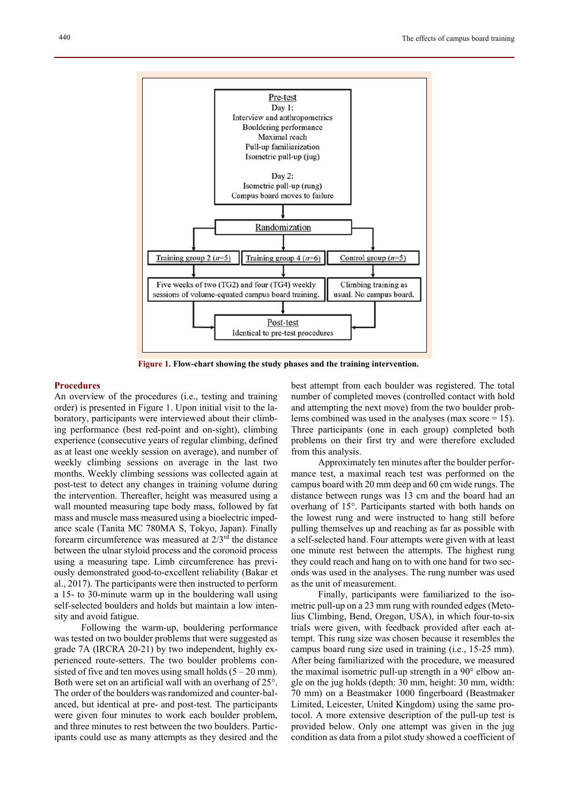

 **Figure 1. Flow-chart showing the study phases and the training intervention.**

#### **Procedures**

An overview of the procedures (i.e., testing and training order) is presented in Figure 1. Upon initial visit to the laboratory, participants were interviewed about their climbing performance (best red-point and on-sight), climbing experience (consecutive years of regular climbing, defined as at least one weekly session on average), and number of weekly climbing sessions on average in the last two months. Weekly climbing sessions was collected again at post-test to detect any changes in training volume during the intervention. Thereafter, height was measured using a wall mounted measuring tape body mass, followed by fat mass and muscle mass measured using a bioelectric impedance scale (Tanita MC 780MA S, Tokyo, Japan). Finally forearm circumference was measured at 2/3rd the distance between the ulnar styloid process and the coronoid process using a measuring tape. Limb circumference has previously demonstrated good-to-excellent reliability (Bakar et al., 2017). The participants were then instructed to perform a 15- to 30-minute warm up in the bouldering wall using self-selected boulders and holds but maintain a low intensity and avoid fatigue.

Following the warm-up, bouldering performance was tested on two boulder problems that were suggested as grade 7A (IRCRA 20-21) by two independent, highly experienced route-setters. The two boulder problems consisted of five and ten moves using small holds  $(5 - 20 \text{ mm})$ . Both were set on an artificial wall with an overhang of 25°. The order of the boulders was randomized and counter-balanced, but identical at pre- and post-test. The participants were given four minutes to work each boulder problem, and three minutes to rest between the two boulders. Participants could use as many attempts as they desired and the best attempt from each boulder was registered. The total number of completed moves (controlled contact with hold and attempting the next move) from the two boulder problems combined was used in the analyses (max score  $= 15$ ). Three participants (one in each group) completed both problems on their first try and were therefore excluded from this analysis.

Approximately ten minutes after the boulder performance test, a maximal reach test was performed on the campus board with 20 mm deep and 60 cm wide rungs. The distance between rungs was 13 cm and the board had an overhang of 15°. Participants started with both hands on the lowest rung and were instructed to hang still before pulling themselves up and reaching as far as possible with a self-selected hand. Four attempts were given with at least one minute rest between the attempts. The highest rung they could reach and hang on to with one hand for two seconds was used in the analyses. The rung number was used as the unit of measurement.

Finally, participants were familiarized to the isometric pull-up on a 23 mm rung with rounded edges (Metolius Climbing, Bend, Oregon, USA), in which four-to-six trials were given, with feedback provided after each attempt. This rung size was chosen because it resembles the campus board rung size used in training (i.e., 15-25 mm). After being familiarized with the procedure, we measured the maximal isometric pull-up strength in a 90° elbow angle on the jug holds (depth: 30 mm, height: 30 mm, width: 70 mm) on a Beastmaker 1000 fingerboard (Beastmaker Limited, Leicester, United Kingdom) using the same protocol. A more extensive description of the pull-up test is provided below. Only one attempt was given in the jug condition as data from a pilot study showed a coefficient of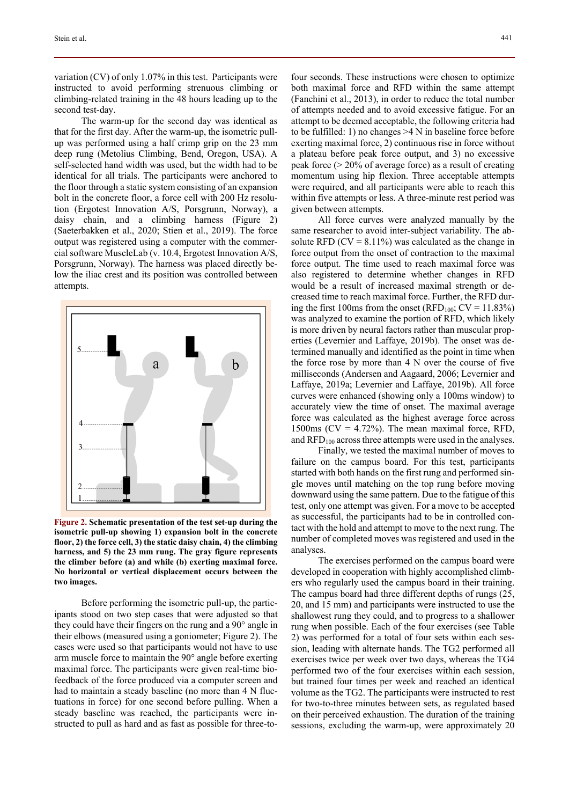variation (CV) of only 1.07% in this test. Participants were instructed to avoid performing strenuous climbing or climbing-related training in the 48 hours leading up to the second test-day.

The warm-up for the second day was identical as that for the first day. After the warm-up, the isometric pullup was performed using a half crimp grip on the 23 mm deep rung (Metolius Climbing, Bend, Oregon, USA). A self-selected hand width was used, but the width had to be identical for all trials. The participants were anchored to the floor through a static system consisting of an expansion bolt in the concrete floor, a force cell with 200 Hz resolution (Ergotest Innovation A/S, Porsgrunn, Norway), a daisy chain, and a climbing harness (Figure 2) (Saeterbakken et al., 2020; Stien et al., 2019). The force output was registered using a computer with the commercial software MuscleLab (v. 10.4, Ergotest Innovation A/S, Porsgrunn, Norway). The harness was placed directly below the iliac crest and its position was controlled between attempts.



**Figure 2. Schematic presentation of the test set-up during the isometric pull-up showing 1) expansion bolt in the concrete floor, 2) the force cell, 3) the static daisy chain, 4) the climbing harness, and 5) the 23 mm rung. The gray figure represents the climber before (a) and while (b) exerting maximal force. No horizontal or vertical displacement occurs between the two images.** 

Before performing the isometric pull-up, the participants stood on two step cases that were adjusted so that they could have their fingers on the rung and a 90° angle in their elbows (measured using a goniometer; Figure 2). The cases were used so that participants would not have to use arm muscle force to maintain the 90° angle before exerting maximal force. The participants were given real-time biofeedback of the force produced via a computer screen and had to maintain a steady baseline (no more than 4 N fluctuations in force) for one second before pulling. When a steady baseline was reached, the participants were instructed to pull as hard and as fast as possible for three-to-

four seconds. These instructions were chosen to optimize both maximal force and RFD within the same attempt (Fanchini et al., 2013), in order to reduce the total number of attempts needed and to avoid excessive fatigue. For an attempt to be deemed acceptable, the following criteria had to be fulfilled: 1) no changes >4 N in baseline force before exerting maximal force, 2) continuous rise in force without a plateau before peak force output, and 3) no excessive peak force (> 20% of average force) as a result of creating momentum using hip flexion. Three acceptable attempts were required, and all participants were able to reach this within five attempts or less. A three-minute rest period was given between attempts.

All force curves were analyzed manually by the same researcher to avoid inter-subject variability. The absolute RFD  $(CV = 8.11\%)$  was calculated as the change in force output from the onset of contraction to the maximal force output. The time used to reach maximal force was also registered to determine whether changes in RFD would be a result of increased maximal strength or decreased time to reach maximal force. Further, the RFD during the first 100ms from the onset (RFD<sub>100</sub>;  $CV = 11.83\%$ ) was analyzed to examine the portion of RFD, which likely is more driven by neural factors rather than muscular properties (Levernier and Laffaye, 2019b). The onset was determined manually and identified as the point in time when the force rose by more than 4 N over the course of five milliseconds (Andersen and Aagaard, 2006; Levernier and Laffaye, 2019a; Levernier and Laffaye, 2019b). All force curves were enhanced (showing only a 100ms window) to accurately view the time of onset. The maximal average force was calculated as the highest average force across 1500ms ( $CV = 4.72\%$ ). The mean maximal force, RFD, and  $\text{RFD}_{100}$  across three attempts were used in the analyses.

Finally, we tested the maximal number of moves to failure on the campus board. For this test, participants started with both hands on the first rung and performed single moves until matching on the top rung before moving downward using the same pattern. Due to the fatigue of this test, only one attempt was given. For a move to be accepted as successful, the participants had to be in controlled contact with the hold and attempt to move to the next rung. The number of completed moves was registered and used in the analyses.

The exercises performed on the campus board were developed in cooperation with highly accomplished climbers who regularly used the campus board in their training. The campus board had three different depths of rungs (25, 20, and 15 mm) and participants were instructed to use the shallowest rung they could, and to progress to a shallower rung when possible. Each of the four exercises (see Table 2) was performed for a total of four sets within each session, leading with alternate hands. The TG2 performed all exercises twice per week over two days, whereas the TG4 performed two of the four exercises within each session, but trained four times per week and reached an identical volume as the TG2. The participants were instructed to rest for two-to-three minutes between sets, as regulated based on their perceived exhaustion. The duration of the training sessions, excluding the warm-up, were approximately 20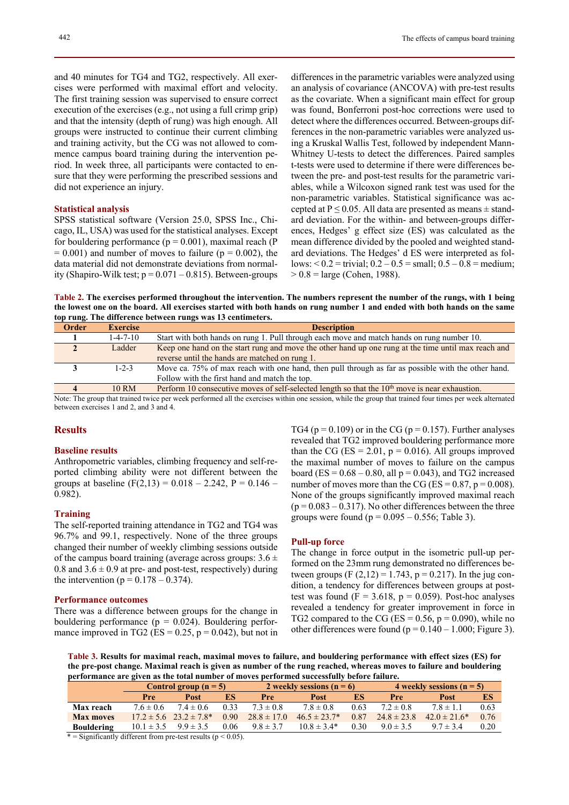and 40 minutes for TG4 and TG2, respectively. All exercises were performed with maximal effort and velocity. The first training session was supervised to ensure correct execution of the exercises (e.g., not using a full crimp grip) and that the intensity (depth of rung) was high enough. All groups were instructed to continue their current climbing and training activity, but the CG was not allowed to commence campus board training during the intervention period. In week three, all participants were contacted to ensure that they were performing the prescribed sessions and did not experience an injury.

## **Statistical analysis**

SPSS statistical software (Version 25.0, SPSS Inc., Chicago, IL, USA) was used for the statistical analyses. Except for bouldering performance ( $p = 0.001$ ), maximal reach (P  $= 0.001$ ) and number of moves to failure ( $p = 0.002$ ), the data material did not demonstrate deviations from normality (Shapiro-Wilk test;  $p = 0.071 - 0.815$ ). Between-groups

differences in the parametric variables were analyzed using an analysis of covariance (ANCOVA) with pre-test results as the covariate. When a significant main effect for group was found, Bonferroni post-hoc corrections were used to detect where the differences occurred. Between-groups differences in the non-parametric variables were analyzed using a Kruskal Wallis Test, followed by independent Mann-Whitney U-tests to detect the differences. Paired samples t-tests were used to determine if there were differences between the pre- and post-test results for the parametric variables, while a Wilcoxon signed rank test was used for the non-parametric variables. Statistical significance was accepted at  $P \le 0.05$ . All data are presented as means  $\pm$  standard deviation. For the within- and between-groups differences, Hedges' g effect size (ES) was calculated as the mean difference divided by the pooled and weighted standard deviations. The Hedges' d ES were interpreted as follows:  $0.2 =$  trivial;  $0.2 - 0.5 =$  small;  $0.5 - 0.8 =$  medium;  $> 0.8$  = large (Cohen, 1988).

**Table 2. The exercises performed throughout the intervention. The numbers represent the number of the rungs, with 1 being the lowest one on the board. All exercises started with both hands on rung number 1 and ended with both hands on the same top rung. The difference between rungs was 13 centimeters.** 

| $\overline{\phantom{a}}$ |                  |                                                                                                                                                                                                                                                                                                                                                                                                                                                                                               |
|--------------------------|------------------|-----------------------------------------------------------------------------------------------------------------------------------------------------------------------------------------------------------------------------------------------------------------------------------------------------------------------------------------------------------------------------------------------------------------------------------------------------------------------------------------------|
| <b>Order</b>             | <b>Exercise</b>  | <b>Description</b>                                                                                                                                                                                                                                                                                                                                                                                                                                                                            |
|                          | $1 - 4 - 7 - 10$ | Start with both hands on rung 1. Pull through each move and match hands on rung number 10.                                                                                                                                                                                                                                                                                                                                                                                                    |
|                          | Ladder           | Keep one hand on the start rung and move the other hand up one rung at the time until max reach and                                                                                                                                                                                                                                                                                                                                                                                           |
|                          |                  | reverse until the hands are matched on rung 1.                                                                                                                                                                                                                                                                                                                                                                                                                                                |
|                          | $1 - 2 - 3$      | Move ca. 75% of max reach with one hand, then pull through as far as possible with the other hand.                                                                                                                                                                                                                                                                                                                                                                                            |
|                          |                  | Follow with the first hand and match the top.                                                                                                                                                                                                                                                                                                                                                                                                                                                 |
|                          | 10 RM            | Perform 10 consecutive moves of self-selected length so that the $10th$ move is near exhaustion.                                                                                                                                                                                                                                                                                                                                                                                              |
| $\sim$<br>$\sim$ $\sim$  |                  | $\mathcal{A} = \mathcal{A} \cup \mathcal{A}$ . The contract of the contract of the contract of the contract of the contract of the contract of the contract of the contract of the contract of the contract of the contract of the contract of the<br>$\mathcal{A}$ and $\mathcal{A}$ are assumed to the contract of the contract of the contract of the contract of the contract of the contract of the contract of the contract of the contract of the contract of the contract of the cont |

Note: The group that trained twice per week performed all the exercises within one session, while the group that trained four times per week alternated between exercises 1 and 2, and 3 and 4.

## **Results**

#### **Baseline results**

Anthropometric variables, climbing frequency and self-reported climbing ability were not different between the groups at baseline  $(F(2,13) = 0.018 - 2.242, P = 0.146 -$ 0.982).

#### **Training**

The self-reported training attendance in TG2 and TG4 was 96.7% and 99.1, respectively. None of the three groups changed their number of weekly climbing sessions outside of the campus board training (average across groups:  $3.6 \pm$ 0.8 and  $3.6 \pm 0.9$  at pre- and post-test, respectively) during the intervention ( $p = 0.178 - 0.374$ ).

#### **Performance outcomes**

There was a difference between groups for the change in bouldering performance ( $p = 0.024$ ). Bouldering performance improved in TG2 (ES =  $0.25$ ,  $p = 0.042$ ), but not in TG4 ( $p = 0.109$ ) or in the CG ( $p = 0.157$ ). Further analyses revealed that TG2 improved bouldering performance more than the CG ( $ES = 2.01$ ,  $p = 0.016$ ). All groups improved the maximal number of moves to failure on the campus board (ES =  $0.68 - 0.80$ , all  $p = 0.043$ ), and TG2 increased number of moves more than the CG (ES =  $0.87$ , p =  $0.008$ ). None of the groups significantly improved maximal reach  $(p = 0.083 - 0.317)$ . No other differences between the three groups were found ( $p = 0.095 - 0.556$ ; Table 3).

#### **Pull-up force**

The change in force output in the isometric pull-up performed on the 23mm rung demonstrated no differences between groups (F  $(2,12) = 1.743$ , p = 0.217). In the jug condition, a tendency for differences between groups at posttest was found ( $F = 3.618$ ,  $p = 0.059$ ). Post-hoc analyses revealed a tendency for greater improvement in force in TG2 compared to the CG (ES =  $0.56$ , p =  $0.090$ ), while no other differences were found ( $p = 0.140 - 1.000$ ; Figure 3).

**Table 3. Results for maximal reach, maximal moves to failure, and bouldering performance with effect sizes (ES) for the pre-post change. Maximal reach is given as number of the rung reached, whereas moves to failure and bouldering performance are given as the total number of moves performed successfully before failure.** 

|                   | Control group $(n=5)$ |                                 | 2 weekly sessions $(n = 6)$ |                 |                   | 4 weekly sessions $(n = 5)$ |                 |                   |      |
|-------------------|-----------------------|---------------------------------|-----------------------------|-----------------|-------------------|-----------------------------|-----------------|-------------------|------|
|                   | Pre                   | <b>Post</b>                     | ES                          | Pre             | Post              | ES                          | Pre             | <b>Post</b>       | ES   |
| Max reach         | $7.6 \pm 0.6$         | $7.4 \pm 0.6$                   | 0.33                        | $7.3 \pm 0.8$   | $7.8 \pm 0.8$     | 0.63                        | $7.2 \pm 0.8$   | $7.8 \pm 1.1$     | 0.63 |
| <b>Max moves</b>  |                       | $17.2 \pm 5.6$ $23.2 \pm 7.8$ * | 0.90                        | $28.8 \pm 17.0$ | $46.5 \pm 23.7^*$ | 0.87                        | $24.8 \pm 23.8$ | $42.0 \pm 21.6^*$ | 0.76 |
| <b>Bouldering</b> | $10.1 \pm 3.5$        | $9.9 \pm 3.5$                   | 0.06                        | $9.8 \pm 3.7$   | $10.8 \pm 3.4*$   | 0.30                        | $9.0 \pm 3.5$   | $9.7 \pm 3.4$     | 0.20 |

\* = Significantly different from pre-test results ( $p < 0.05$ ).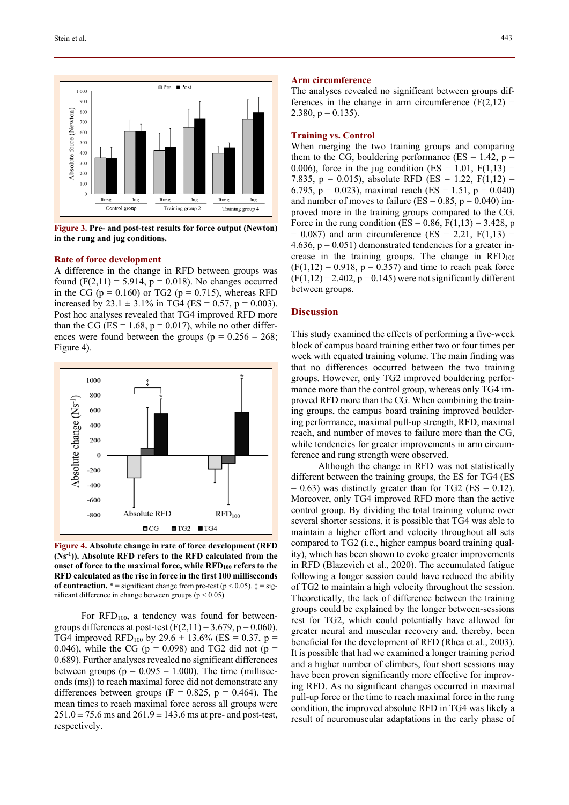

**Figure 3. Pre- and post-test results for force output (Newton) in the rung and jug conditions.** 

#### **Rate of force development**

A difference in the change in RFD between groups was found  $(F(2,11) = 5.914, p = 0.018)$ . No changes occurred in the CG ( $p = 0.160$ ) or TG2 ( $p = 0.715$ ), whereas RFD increased by 23.1  $\pm$  3.1% in TG4 (ES = 0.57, p = 0.003). Post hoc analyses revealed that TG4 improved RFD more than the CG ( $ES = 1.68$ ,  $p = 0.017$ ), while no other differences were found between the groups ( $p = 0.256 - 268$ ; Figure 4).



**Figure 4. Absolute change in rate of force development (RFD (Ns-1)). Absolute RFD refers to the RFD calculated from the onset of force to the maximal force, while RFD100 refers to the RFD calculated as the rise in force in the first 100 milliseconds of contraction.**  $* =$  significant change from pre-test ( $p < 0.05$ ).  $\ddagger =$  significant difference in change between groups ( $p < 0.05$ )

For  $\text{RFD}_{100}$ , a tendency was found for betweengroups differences at post-test  $(F(2,11) = 3.679, p = 0.060)$ . TG4 improved RFD<sub>100</sub> by 29.6  $\pm$  13.6% (ES = 0.37, p = 0.046), while the CG ( $p = 0.098$ ) and TG2 did not ( $p =$ 0.689). Further analyses revealed no significant differences between groups ( $p = 0.095 - 1.000$ ). The time (milliseconds (ms)) to reach maximal force did not demonstrate any differences between groups ( $F = 0.825$ ,  $p = 0.464$ ). The mean times to reach maximal force across all groups were  $251.0 \pm 75.6$  ms and  $261.9 \pm 143.6$  ms at pre- and post-test, respectively.

#### **Arm circumference**

The analyses revealed no significant between groups differences in the change in arm circumference  $(F(2,12) =$ 2.380,  $p = 0.135$ ).

## **Training vs. Control**

When merging the two training groups and comparing them to the CG, bouldering performance ( $ES = 1.42$ ,  $p =$ 0.006), force in the jug condition (ES = 1.01,  $F(1,13) =$ 7.835,  $p = 0.015$ ), absolute RFD (ES = 1.22, F(1,12) = 6.795, p = 0.023), maximal reach (ES = 1.51, p = 0.040) and number of moves to failure ( $ES = 0.85$ ,  $p = 0.040$ ) improved more in the training groups compared to the CG. Force in the rung condition (ES =  $0.86$ , F(1,13) = 3.428, p  $= 0.087$ ) and arm circumference (ES = 2.21, F(1,13) = 4.636,  $p = 0.051$ ) demonstrated tendencies for a greater increase in the training groups. The change in  $\text{RFD}_{100}$  $(F(1,12) = 0.918, p = 0.357)$  and time to reach peak force  $(F(1,12) = 2.402, p = 0.145)$  were not significantly different between groups.

## **Discussion**

This study examined the effects of performing a five-week block of campus board training either two or four times per week with equated training volume. The main finding was that no differences occurred between the two training groups. However, only TG2 improved bouldering performance more than the control group, whereas only TG4 improved RFD more than the CG. When combining the training groups, the campus board training improved bouldering performance, maximal pull-up strength, RFD, maximal reach, and number of moves to failure more than the CG, while tendencies for greater improvements in arm circumference and rung strength were observed.

Although the change in RFD was not statistically different between the training groups, the ES for TG4 (ES  $= 0.63$ ) was distinctly greater than for TG2 (ES  $= 0.12$ ). Moreover, only TG4 improved RFD more than the active control group. By dividing the total training volume over several shorter sessions, it is possible that TG4 was able to maintain a higher effort and velocity throughout all sets compared to TG2 (i.e., higher campus board training quality), which has been shown to evoke greater improvements in RFD (Blazevich et al., 2020). The accumulated fatigue following a longer session could have reduced the ability of TG2 to maintain a high velocity throughout the session. Theoretically, the lack of difference between the training groups could be explained by the longer between-sessions rest for TG2, which could potentially have allowed for greater neural and muscular recovery and, thereby, been beneficial for the development of RFD (Rhea et al., 2003). It is possible that had we examined a longer training period and a higher number of climbers, four short sessions may have been proven significantly more effective for improving RFD. As no significant changes occurred in maximal pull-up force or the time to reach maximal force in the rung condition, the improved absolute RFD in TG4 was likely a result of neuromuscular adaptations in the early phase of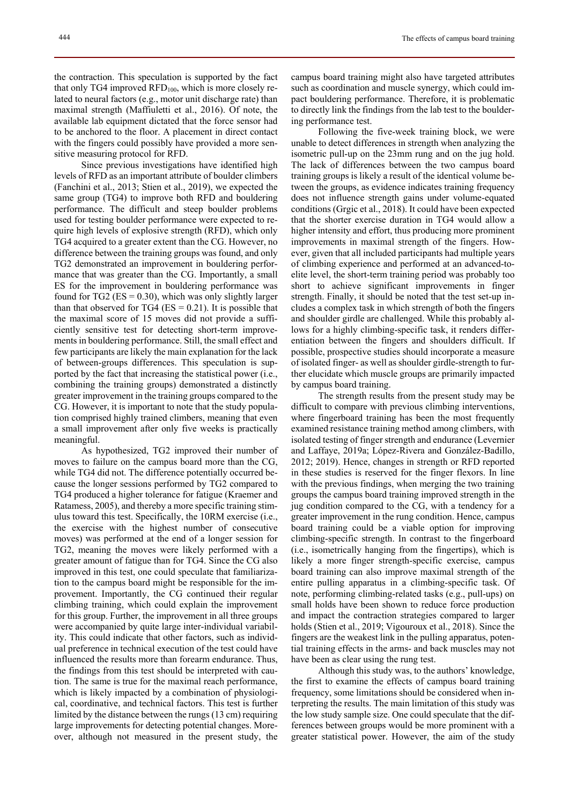the contraction. This speculation is supported by the fact that only TG4 improved  $\text{RFD}_{100}$ , which is more closely related to neural factors (e.g., motor unit discharge rate) than maximal strength (Maffiuletti et al., 2016). Of note, the available lab equipment dictated that the force sensor had to be anchored to the floor. A placement in direct contact with the fingers could possibly have provided a more sensitive measuring protocol for RFD.

Since previous investigations have identified high levels of RFD as an important attribute of boulder climbers (Fanchini et al., 2013; Stien et al., 2019), we expected the same group (TG4) to improve both RFD and bouldering performance. The difficult and steep boulder problems used for testing boulder performance were expected to require high levels of explosive strength (RFD), which only TG4 acquired to a greater extent than the CG. However, no difference between the training groups was found, and only TG2 demonstrated an improvement in bouldering performance that was greater than the CG. Importantly, a small ES for the improvement in bouldering performance was found for TG2 ( $ES = 0.30$ ), which was only slightly larger than that observed for TG4 ( $ES = 0.21$ ). It is possible that the maximal score of 15 moves did not provide a sufficiently sensitive test for detecting short-term improvements in bouldering performance. Still, the small effect and few participants are likely the main explanation for the lack of between-groups differences. This speculation is supported by the fact that increasing the statistical power (i.e., combining the training groups) demonstrated a distinctly greater improvement in the training groups compared to the CG. However, it is important to note that the study population comprised highly trained climbers, meaning that even a small improvement after only five weeks is practically meaningful.

As hypothesized, TG2 improved their number of moves to failure on the campus board more than the CG, while TG4 did not. The difference potentially occurred because the longer sessions performed by TG2 compared to TG4 produced a higher tolerance for fatigue (Kraemer and Ratamess, 2005), and thereby a more specific training stimulus toward this test. Specifically, the 10RM exercise (i.e., the exercise with the highest number of consecutive moves) was performed at the end of a longer session for TG2, meaning the moves were likely performed with a greater amount of fatigue than for TG4. Since the CG also improved in this test, one could speculate that familiarization to the campus board might be responsible for the improvement. Importantly, the CG continued their regular climbing training, which could explain the improvement for this group. Further, the improvement in all three groups were accompanied by quite large inter-individual variability. This could indicate that other factors, such as individual preference in technical execution of the test could have influenced the results more than forearm endurance. Thus, the findings from this test should be interpreted with caution. The same is true for the maximal reach performance, which is likely impacted by a combination of physiological, coordinative, and technical factors. This test is further limited by the distance between the rungs (13 cm) requiring large improvements for detecting potential changes. Moreover, although not measured in the present study, the

campus board training might also have targeted attributes such as coordination and muscle synergy, which could impact bouldering performance. Therefore, it is problematic to directly link the findings from the lab test to the bouldering performance test.

Following the five-week training block, we were unable to detect differences in strength when analyzing the isometric pull-up on the 23mm rung and on the jug hold. The lack of differences between the two campus board training groups is likely a result of the identical volume between the groups, as evidence indicates training frequency does not influence strength gains under volume-equated conditions (Grgic et al., 2018). It could have been expected that the shorter exercise duration in TG4 would allow a higher intensity and effort, thus producing more prominent improvements in maximal strength of the fingers. However, given that all included participants had multiple years of climbing experience and performed at an advanced-toelite level, the short-term training period was probably too short to achieve significant improvements in finger strength. Finally, it should be noted that the test set-up includes a complex task in which strength of both the fingers and shoulder girdle are challenged. While this probably allows for a highly climbing-specific task, it renders differentiation between the fingers and shoulders difficult. If possible, prospective studies should incorporate a measure of isolated finger- as well as shoulder girdle-strength to further elucidate which muscle groups are primarily impacted by campus board training.

The strength results from the present study may be difficult to compare with previous climbing interventions, where fingerboard training has been the most frequently examined resistance training method among climbers, with isolated testing of finger strength and endurance (Levernier and Laffaye, 2019a; López-Rivera and González-Badillo, 2012; 2019). Hence, changes in strength or RFD reported in these studies is reserved for the finger flexors. In line with the previous findings, when merging the two training groups the campus board training improved strength in the jug condition compared to the CG, with a tendency for a greater improvement in the rung condition. Hence, campus board training could be a viable option for improving climbing-specific strength. In contrast to the fingerboard (i.e., isometrically hanging from the fingertips), which is likely a more finger strength-specific exercise, campus board training can also improve maximal strength of the entire pulling apparatus in a climbing-specific task. Of note, performing climbing-related tasks (e.g., pull-ups) on small holds have been shown to reduce force production and impact the contraction strategies compared to larger holds (Stien et al., 2019; Vigouroux et al., 2018). Since the fingers are the weakest link in the pulling apparatus, potential training effects in the arms- and back muscles may not have been as clear using the rung test.

Although this study was, to the authors' knowledge, the first to examine the effects of campus board training frequency, some limitations should be considered when interpreting the results. The main limitation of this study was the low study sample size. One could speculate that the differences between groups would be more prominent with a greater statistical power. However, the aim of the study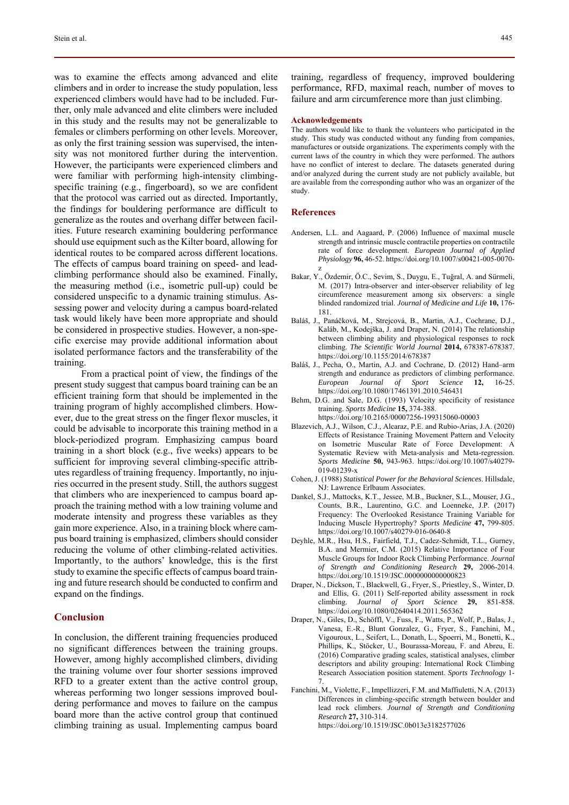was to examine the effects among advanced and elite climbers and in order to increase the study population, less experienced climbers would have had to be included. Further, only male advanced and elite climbers were included in this study and the results may not be generalizable to females or climbers performing on other levels. Moreover, as only the first training session was supervised, the intensity was not monitored further during the intervention. However, the participants were experienced climbers and were familiar with performing high-intensity climbingspecific training (e.g., fingerboard), so we are confident that the protocol was carried out as directed. Importantly, the findings for bouldering performance are difficult to generalize as the routes and overhang differ between facilities. Future research examining bouldering performance should use equipment such as the Kilter board, allowing for identical routes to be compared across different locations. The effects of campus board training on speed- and leadclimbing performance should also be examined. Finally, the measuring method (i.e., isometric pull-up) could be considered unspecific to a dynamic training stimulus. Assessing power and velocity during a campus board-related task would likely have been more appropriate and should be considered in prospective studies. However, a non-specific exercise may provide additional information about isolated performance factors and the transferability of the training.

From a practical point of view, the findings of the present study suggest that campus board training can be an efficient training form that should be implemented in the training program of highly accomplished climbers. However, due to the great stress on the finger flexor muscles, it could be advisable to incorporate this training method in a block-periodized program. Emphasizing campus board training in a short block (e.g., five weeks) appears to be sufficient for improving several climbing-specific attributes regardless of training frequency. Importantly, no injuries occurred in the present study. Still, the authors suggest that climbers who are inexperienced to campus board approach the training method with a low training volume and moderate intensity and progress these variables as they gain more experience. Also, in a training block where campus board training is emphasized, climbers should consider reducing the volume of other climbing-related activities. Importantly, to the authors' knowledge, this is the first study to examine the specific effects of campus board training and future research should be conducted to confirm and expand on the findings.

## **Conclusion**

In conclusion, the different training frequencies produced no significant differences between the training groups. However, among highly accomplished climbers, dividing the training volume over four shorter sessions improved RFD to a greater extent than the active control group, whereas performing two longer sessions improved bouldering performance and moves to failure on the campus board more than the active control group that continued climbing training as usual. Implementing campus board

training, regardless of frequency, improved bouldering performance, RFD, maximal reach, number of moves to failure and arm circumference more than just climbing.

#### **Acknowledgements**

The authors would like to thank the volunteers who participated in the study. This study was conducted without any funding from companies, manufactures or outside organizations. The experiments comply with the current laws of the country in which they were performed. The authors have no conflict of interest to declare. The datasets generated during and/or analyzed during the current study are not publicly available, but are available from the corresponding author who was an organizer of the study.

#### **References**

- Andersen, L.L. and Aagaard, P. (2006) Influence of maximal muscle strength and intrinsic muscle contractile properties on contractile rate of force development. *European Journal of Applied Physiology* **96,** 46-52. https://doi.org/10.1007/s00421-005-0070 z
- Bakar, Y., Özdemir, Ö.C., Sevim, S., Duygu, E., Tuğral, A. and Sürmeli, M. (2017) Intra-observer and inter-observer reliability of leg circumference measurement among six observers: a single blinded randomized trial. *Journal of Medicine and Life* **10,** 176- 181.
- Baláš, J., Panáčková, M., Strejcová, B., Martin, A.J., Cochrane, D.J., Kaláb, M., Kodejška, J. and Draper, N. (2014) The relationship between climbing ability and physiological responses to rock climbing. *The Scientific World Journal* **2014,** 678387-678387. https://doi.org/10.1155/2014/678387
- Baláš, J., Pecha, O., Martin, A.J. and Cochrane, D. (2012) Hand–arm strength and endurance as predictors of climbing performance. *European Journal of Sport Science* **12,** 16-25. https://doi.org/10.1080/17461391.2010.546431
- Behm, D.G. and Sale, D.G. (1993) Velocity specificity of resistance training. *Sports Medicine* **15,** 374-388.
- https://doi.org/10.2165/00007256-199315060-00003 Blazevich, A.J., Wilson, C.J., Alcaraz, P.E. and Rubio-Arias, J.A. (2020) Effects of Resistance Training Movement Pattern and Velocity on Isometric Muscular Rate of Force Development: A Systematic Review with Meta-analysis and Meta-regression. *Sports Medicine* **50,** 943-963. https://doi.org/10.1007/s40279-
- 019-01239-x Cohen, J. (1988) *Statistical Power for the Behavioral Sciences*. Hillsdale, NJ: Lawrence Erlbaum Associates.
- Dankel, S.J., Mattocks, K.T., Jessee, M.B., Buckner, S.L., Mouser, J.G., Counts, B.R., Laurentino, G.C. and Loenneke, J.P. (2017) Frequency: The Overlooked Resistance Training Variable for Inducing Muscle Hypertrophy? *Sports Medicine* **47,** 799-805. https://doi.org/10.1007/s40279-016-0640-8
- Deyhle, M.R., Hsu, H.S., Fairfield, T.J., Cadez-Schmidt, T.L., Gurney, B.A. and Mermier, C.M. (2015) Relative Importance of Four Muscle Groups for Indoor Rock Climbing Performance. *Journal of Strength and Conditioning Research* **29,** 2006-2014. https://doi.org/10.1519/JSC.0000000000000823
- Draper, N., Dickson, T., Blackwell, G., Fryer, S., Priestley, S., Winter, D. and Ellis, G. (2011) Self-reported ability assessment in rock climbing. *Journal of Sport Science* **29,** 851-858. https://doi.org/10.1080/02640414.2011.565362
- Draper, N., Giles, D., Schöffl, V., Fuss, F., Watts, P., Wolf, P., Balas, J., Vanesa, E.-R., Blunt Gonzalez, G., Fryer, S., Fanchini, M., Vigouroux, L., Seifert, L., Donath, L., Spoerri, M., Bonetti, K., Phillips, K., Stöcker, U., Bourassa-Moreau, F. and Abreu, E. (2016) Comparative grading scales, statistical analyses, climber descriptors and ability grouping: International Rock Climbing Research Association position statement. *Sports Technology* 1- 7.
- Fanchini, M., Violette, F., Impellizzeri, F.M. and Maffiuletti, N.A. (2013) Differences in climbing-specific strength between boulder and lead rock climbers. *Journal of Strength and Conditioning Research* **27,** 310-314. https://doi.org/10.1519/JSC.0b013e3182577026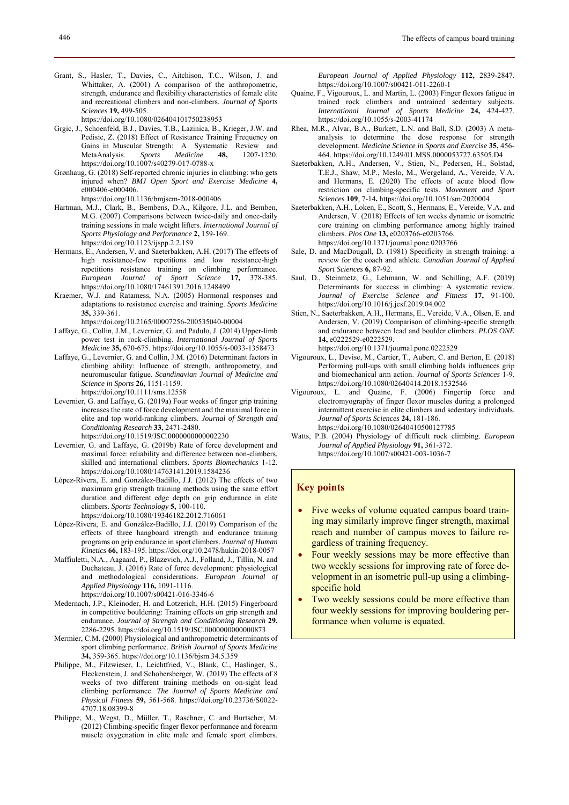https://doi.org/10.1080/026404101750238953

- Grgic, J., Schoenfeld, B.J., Davies, T.B., Lazinica, B., Krieger, J.W. and Pedisic, Z. (2018) Effect of Resistance Training Frequency on Gains in Muscular Strength: A Systematic Review and MetaAnalysis. *Sports Medicine* **48,** 1207-1220. https://doi.org/10.1007/s40279-017-0788-x
- Grønhaug, G. (2018) Self-reported chronic injuries in climbing: who gets injured when? *BMJ Open Sport and Exercise Medicine* **4,** e000406-e000406.

https://doi.org/10.1136/bmjsem-2018-000406

- Hartman, M.J., Clark, B., Bembens, D.A., Kilgore, J.L. and Bemben, M.G. (2007) Comparisons between twice-daily and once-daily training sessions in male weight lifters. *International Journal of Sports Physiology and Performance* **2,** 159-169. https://doi.org/10.1123/ijspp.2.2.159
- Hermans, E., Andersen, V. and Saeterbakken, A.H. (2017) The effects of high resistance-few repetitions and low resistance-high repetitions resistance training on climbing performance. *European Journal of Sport Science* **17,** 378-385. https://doi.org/10.1080/17461391.2016.1248499
- Kraemer, W.J. and Ratamess, N.A. (2005) Hormonal responses and adaptations to resistance exercise and training. *Sports Medicine* **35,** 339-361.

https://doi.org/10.2165/00007256-200535040-00004

- Laffaye, G., Collin, J.M., Levernier, G. and Padulo, J. (2014) Upper-limb power test in rock-climbing. *International Journal of Sports Medicine* **35,** 670-675. https://doi.org/10.1055/s-0033-1358473
- Laffaye, G., Levernier, G. and Collin, J.M. (2016) Determinant factors in climbing ability: Influence of strength, anthropometry, and neuromuscular fatigue. *Scandinavian Journal of Medicine and Science in Sports* **26,** 1151-1159. https://doi.org/10.1111/sms.12558
- Levernier, G. and Laffaye, G. (2019a) Four weeks of finger grip training increases the rate of force development and the maximal force in elite and top world-ranking climbers. *Journal of Strength and Conditioning Research* **33,** 2471-2480. https://doi.org/10.1519/JSC.0000000000002230
- Levernier, G. and Laffaye, G. (2019b) Rate of force development and maximal force: reliability and difference between non-climbers, skilled and international climbers. *Sports Biomechanics* 1-12. https://doi.org/10.1080/14763141.2019.1584236
- López-Rivera, E. and González-Badillo, J.J. (2012) The effects of two maximum grip strength training methods using the same effort duration and different edge depth on grip endurance in elite climbers. *Sports Technology* **5,** 100-110. https://doi.org/10.1080/19346182.2012.716061
- López-Rivera, E. and González-Badillo, J.J. (2019) Comparison of the effects of three hangboard strength and endurance training programs on grip endurance in sport climbers. *Journal of Human Kinetics* **66,** 183-195. https://doi.org/10.2478/hukin-2018-0057
- Maffiuletti, N.A., Aagaard, P., Blazevich, A.J., Folland, J., Tillin, N. and Duchateau, J. (2016) Rate of force development: physiological and methodological considerations. *European Journal of Applied Physiology* **116,** 1091-1116.

https://doi.org/10.1007/s00421-016-3346-6

- Medernach, J.P., Kleinoder, H. and Lotzerich, H.H. (2015) Fingerboard in competitive bouldering: Training effects on grip strength and endurance. *Journal of Strength and Conditioning Research* **29,** 2286-2295. https://doi.org/10.1519/JSC.0000000000000873
- Mermier, C.M. (2000) Physiological and anthropometric determinants of sport climbing performance. *British Journal of Sports Medicine* **34,** 359-365. https://doi.org/10.1136/bjsm.34.5.359
- Philippe, M., Filzwieser, I., Leichtfried, V., Blank, C., Haslinger, S., Fleckenstein, J. and Schobersberger, W. (2019) The effects of 8 weeks of two different training methods on on-sight lead climbing performance. *The Journal of Sports Medicine and Physical Fitness* **59,** 561-568. https://doi.org/10.23736/S0022- 4707.18.08399-8
- Philippe, M., Wegst, D., Müller, T., Raschner, C. and Burtscher, M. (2012) Climbing-specific finger flexor performance and forearm muscle oxygenation in elite male and female sport climbers.

*European Journal of Applied Physiology* **112,** 2839-2847. https://doi.org/10.1007/s00421-011-2260-1

- Quaine, F., Vigouroux, L. and Martin, L. (2003) Finger flexors fatigue in trained rock climbers and untrained sedentary subjects. *International Journal of Sports Medicine* **24,** 424-427. https://doi.org/10.1055/s-2003-41174
- Rhea, M.R., Alvar, B.A., Burkett, L.N. and Ball, S.D. (2003) A metaanalysis to determine the dose response for strength development. *Medicine Science in Sports and Exercise* **35,** 456- 464. https://doi.org/10.1249/01.MSS.0000053727.63505.D4
- Saeterbakken, A.H., Andersen, V., Stien, N., Pedersen, H., Solstad, T.E.J., Shaw, M.P., Meslo, M., Wergeland, A., Vereide, V.A. and Hermans, E. (2020) The effects of acute blood flow restriction on climbing-specific tests. *Movement and Sport Sciences* **109**, 7-14**.** https://doi.org/10.1051/sm/2020004
- Saeterbakken, A.H., Loken, E., Scott, S., Hermans, E., Vereide, V.A. and Andersen, V. (2018) Effects of ten weeks dynamic or isometric core training on climbing performance among highly trained climbers. *Plos One* **13,** e0203766-e0203766. https://doi.org/10.1371/journal.pone.0203766
- Sale, D. and MacDougall, D. (1981) Specificity in strength training: a review for the coach and athlete. *Canadian Journal of Applied Sport Sciences* **6,** 87-92.
- Saul, D., Steinmetz, G., Lehmann, W. and Schilling, A.F. (2019) Determinants for success in climbing: A systematic review. *Journal of Exercise Science and Fitness* **17,** 91-100. https://doi.org/10.1016/j.jesf.2019.04.002
- Stien, N., Saeterbakken, A.H., Hermans, E., Vereide, V.A., Olsen, E. and Andersen, V. (2019) Comparison of climbing-specific strength and endurance between lead and boulder climbers. *PLOS ONE* **14,** e0222529-e0222529. https://doi.org/10.1371/journal.pone.0222529
- Vigouroux, L., Devise, M., Cartier, T., Aubert, C. and Berton, E. (2018) Performing pull-ups with small climbing holds influences grip and biomechanical arm action. *Journal of Sports Sciences* 1-9. https://doi.org/10.1080/02640414.2018.1532546
- Vigouroux, L. and Quaine, F. (2006) Fingertip force and electromyography of finger flexor muscles during a prolonged intermittent exercise in elite climbers and sedentary individuals. *Journal of Sports Sciences* **24,** 181-186. https://doi.org/10.1080/02640410500127785
- Watts, P.B. (2004) Physiology of difficult rock climbing. *European Journal of Applied Physiology* **91,** 361-372. https://doi.org/10.1007/s00421-003-1036-7

## **Key points**

- Five weeks of volume equated campus board training may similarly improve finger strength, maximal reach and number of campus moves to failure regardless of training frequency.
- Four weekly sessions may be more effective than two weekly sessions for improving rate of force development in an isometric pull-up using a climbingspecific hold
- Two weekly sessions could be more effective than four weekly sessions for improving bouldering performance when volume is equated.